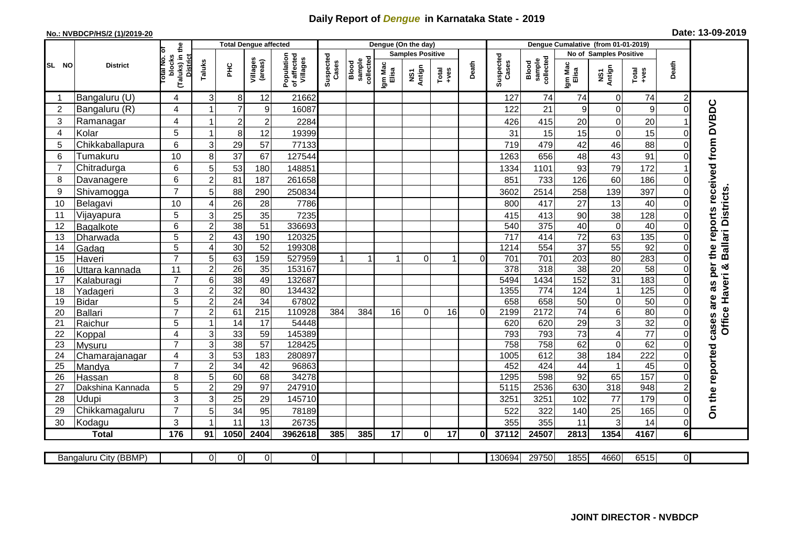## **Daily Report of** *Dengue* **in Karnataka State - 2019**

## **No.: NVBDCP/HS/2 (1)/2019-20 Date: 13-09-2019**

|                |                           |                                                             |                     | <b>Total Dengue affected</b> |                     |                                       |                    |                              |                  | Dengue (On the day)     |                                                                                                                                                                                                                                                                                                                                                                                                             |          |                    |                              |                  |                         |                 |                            |                             |
|----------------|---------------------------|-------------------------------------------------------------|---------------------|------------------------------|---------------------|---------------------------------------|--------------------|------------------------------|------------------|-------------------------|-------------------------------------------------------------------------------------------------------------------------------------------------------------------------------------------------------------------------------------------------------------------------------------------------------------------------------------------------------------------------------------------------------------|----------|--------------------|------------------------------|------------------|-------------------------|-----------------|----------------------------|-----------------------------|
|                |                           |                                                             |                     |                              |                     |                                       |                    |                              |                  | <b>Samples Positive</b> |                                                                                                                                                                                                                                                                                                                                                                                                             |          |                    |                              |                  | No of Samples Positive  |                 |                            |                             |
| SL NO          | <b>District</b>           | (Taluks) in the<br>otal No. of<br>blocks<br><b>District</b> | Taluks              | ĔБ                           | Villages<br>(areas) | Population<br>of affected<br>Villages | Suspected<br>Cases | sample<br>collected<br>Blood | Igm Mac<br>Elisa | NS1<br>Antign           | $\begin{array}{c}\n\text{Total} \\ \text{1-4} \\ \text{1-4} \\ \text{1-4} \\ \text{1-4} \\ \text{1-4} \\ \text{1-4} \\ \text{1-4} \\ \text{1-4} \\ \text{1-4} \\ \text{1-4} \\ \text{1-4} \\ \text{1-4} \\ \text{1-4} \\ \text{1-4} \\ \text{1-4} \\ \text{1-4} \\ \text{1-4} \\ \text{1-4} \\ \text{1-4} \\ \text{1-4} \\ \text{1-4} \\ \text{1-4} \\ \text{1-4} \\ \text{1-4} \\ \text{1-4} \\ \text{1-4$ | Death    | Suspected<br>Cases | collected<br>sample<br>Blood | Igm Mac<br>Elisa | NS1<br>Antign           | Total<br>+ves   | Death                      |                             |
| -1             | Bangaluru (U)             | 4                                                           | 3                   | 8 <sup>1</sup>               | 12                  | 21662                                 |                    |                              |                  |                         |                                                                                                                                                                                                                                                                                                                                                                                                             |          | 127                | 74                           | 74               | $\overline{0}$          | 74              | $\overline{c}$             |                             |
| 2              | Bangaluru (R)             | 4                                                           |                     | $\overline{7}$               | 9                   | 16087                                 |                    |                              |                  |                         |                                                                                                                                                                                                                                                                                                                                                                                                             |          | 122                | 21                           | 9                | $\mathbf 0$             | 9               | $\Omega$                   |                             |
| 3              | Ramanagar                 | 4                                                           | 1                   | $\overline{c}$               | $\overline{a}$      | 2284                                  |                    |                              |                  |                         |                                                                                                                                                                                                                                                                                                                                                                                                             |          | 426                | 415                          | 20               | $\mathsf 0$             | 20              |                            | reports received from DVBDC |
| 4              | Kolar                     | 5                                                           | 1                   | 8 <sup>1</sup>               | 12                  | 19399                                 |                    |                              |                  |                         |                                                                                                                                                                                                                                                                                                                                                                                                             |          | 31                 | 15                           | 15               | $\mathbf 0$             | 15              | $\Omega$                   |                             |
| 5              | Chikkaballapura           | 6                                                           | 3                   | 29                           | 57                  | 77133                                 |                    |                              |                  |                         |                                                                                                                                                                                                                                                                                                                                                                                                             |          | 719                | 479                          | 42               | 46                      | 88              | $\Omega$                   |                             |
| 6              | Tumakuru                  | 10                                                          | 8                   | 37                           | 67                  | 127544                                |                    |                              |                  |                         |                                                                                                                                                                                                                                                                                                                                                                                                             |          | 1263               | 656                          | 48               | 43                      | 91              | 0                          |                             |
| $\overline{7}$ | Chitradurga               | 6                                                           | 5                   | 53                           | 180                 | 148851                                |                    |                              |                  |                         |                                                                                                                                                                                                                                                                                                                                                                                                             |          | 1334               | 1101                         | 93               | 79                      | 172             |                            |                             |
| 8              | Davanagere                | 6                                                           | $\overline{2}$      | 81                           | 187                 | 261658                                |                    |                              |                  |                         |                                                                                                                                                                                                                                                                                                                                                                                                             |          | 851                | 733                          | 126              | 60                      | 186             | $\Omega$                   |                             |
| 9              | Shivamogga                | $\overline{7}$                                              | 5                   | 88                           | 290                 | 250834                                |                    |                              |                  |                         |                                                                                                                                                                                                                                                                                                                                                                                                             |          | 3602               | 2514                         | 258              | 139                     | 397             |                            |                             |
| 10             | Belagavi                  | 10                                                          | 4                   | 26                           | 28                  | 7786                                  |                    |                              |                  |                         |                                                                                                                                                                                                                                                                                                                                                                                                             |          | 800                | 417                          | 27               | 13                      | 40              |                            | <b>Ballari Districts</b>    |
| 11             | Vijayapura                | 5                                                           | 3                   | 25                           | 35                  | 7235                                  |                    |                              |                  |                         |                                                                                                                                                                                                                                                                                                                                                                                                             |          | 415                | 413                          | 90               | 38                      | 128             | 0                          |                             |
| 12             | Bagalkote                 | 6                                                           | $\overline{c}$      | 38                           | 51                  | 336693                                |                    |                              |                  |                         |                                                                                                                                                                                                                                                                                                                                                                                                             |          | 540                | 375                          | 40               | $\overline{0}$          | 40              | $\Omega$                   |                             |
| 13             | Dharwada                  | 5                                                           | $\overline{c}$      | 43                           | 190                 | 120325                                |                    |                              |                  |                         |                                                                                                                                                                                                                                                                                                                                                                                                             |          | $\overline{717}$   | 414                          | $\overline{72}$  | 63                      | 135             | $\Omega$                   |                             |
| 14             | Gadag                     | $\overline{5}$                                              | $\overline{4}$      | 30                           | $\overline{52}$     | 199308                                |                    |                              |                  |                         |                                                                                                                                                                                                                                                                                                                                                                                                             |          | 1214               | 554                          | 37               | 55                      | 92              | $\Omega$                   | the                         |
| 15             | Haveri                    | $\overline{7}$                                              | 5                   | 63                           | 159                 | 527959                                | $\mathbf{1}$       |                              | $\overline{1}$   | $\Omega$                |                                                                                                                                                                                                                                                                                                                                                                                                             | $\Omega$ | 701                | 701                          | 203              | 80                      | 283             | $\Omega$                   |                             |
| 16             | Uttara kannada            | 11                                                          | $\overline{c}$      | $\overline{26}$              | 35                  | 153167                                |                    |                              |                  |                         |                                                                                                                                                                                                                                                                                                                                                                                                             |          | 378                | 318                          | $\overline{38}$  | 20                      | 58              | 0                          | as per<br>×                 |
| 17             | Kalaburagi                | $\overline{7}$                                              | 6                   | $\overline{38}$              | 49                  | 132687                                |                    |                              |                  |                         |                                                                                                                                                                                                                                                                                                                                                                                                             |          | 5494               | 1434                         | 152              | 31                      | 183             |                            |                             |
| 18             | Yadageri                  | 3                                                           | $\overline{c}$      | 32                           | 80                  | 134432                                |                    |                              |                  |                         |                                                                                                                                                                                                                                                                                                                                                                                                             |          | 1355               | 774                          | 124              | $\mathbf{1}$            | 125             |                            |                             |
| 19             | <b>Bidar</b>              | 5                                                           | $\overline{a}$      | $\overline{24}$              | 34                  | 67802                                 |                    |                              |                  |                         |                                                                                                                                                                                                                                                                                                                                                                                                             |          | 658                | 658                          | 50               | $\overline{0}$          | 50              | 0                          | are                         |
| 20             | <b>Ballari</b>            | $\overline{7}$                                              | $\overline{c}$      | 61                           | $\overline{215}$    | 110928                                | 384                | 384                          | 16               | $\overline{0}$          | 16                                                                                                                                                                                                                                                                                                                                                                                                          | $\Omega$ | 2199               | 2172                         | $\overline{74}$  | $\overline{6}$          | 80              | 0                          |                             |
| 21             | Raichur                   | 5                                                           |                     | $\overline{14}$              | $\overline{17}$     | 54448                                 |                    |                              |                  |                         |                                                                                                                                                                                                                                                                                                                                                                                                             |          | 620                | 620                          | 29               | ω                       | 32              | $\Omega$                   | Office Haveri<br>cases      |
| 22             | Koppal                    | 4                                                           | 3                   | 33                           | 59                  | 145389                                |                    |                              |                  |                         |                                                                                                                                                                                                                                                                                                                                                                                                             |          | 793                | 793                          | $\overline{73}$  | $\overline{\mathbf{4}}$ | $\overline{77}$ | $\Omega$                   |                             |
| 23             | Mysuru                    | $\overline{7}$                                              | 3                   | 38                           | $\overline{57}$     | 128425                                |                    |                              |                  |                         |                                                                                                                                                                                                                                                                                                                                                                                                             |          | 758                | 758                          | 62               | $\overline{0}$          | 62              | $\Omega$                   |                             |
| 24             | Chamarajanagar            | 4                                                           | 3                   | 53                           | 183                 | 280897                                |                    |                              |                  |                         |                                                                                                                                                                                                                                                                                                                                                                                                             |          | 1005               | 612                          | 38               | 184                     | 222             | 0                          |                             |
| 25             | Mandya                    | $\overline{7}$                                              | $\overline{2}$      | 34                           | 42                  | 96863                                 |                    |                              |                  |                         |                                                                                                                                                                                                                                                                                                                                                                                                             |          | 452                | 424                          | 44               | $\mathbf{1}$            | 45<br>157       | $\Omega$                   |                             |
| 26             | Hassan                    | 8<br>5                                                      | 5<br>$\overline{2}$ | 60<br>29                     | 68<br>97            | 34278<br>247910                       |                    |                              |                  |                         |                                                                                                                                                                                                                                                                                                                                                                                                             |          | 1295<br>5115       | 598<br>2536                  | 92<br>630        | 65<br>318               | 948             | $\Omega$<br>$\overline{2}$ |                             |
| 27<br>28       | Dakshina Kannada<br>Udupi | 3                                                           |                     |                              |                     |                                       |                    |                              |                  |                         |                                                                                                                                                                                                                                                                                                                                                                                                             |          |                    |                              | 102              | 77                      | 179             | $\Omega$                   |                             |
| 29             | Chikkamagaluru            | $\overline{7}$                                              | 3<br>5              | 25<br>34                     | 29<br>95            | 145710<br>78189                       |                    |                              |                  |                         |                                                                                                                                                                                                                                                                                                                                                                                                             |          | 3251<br>522        | 3251<br>322                  | 140              | 25                      | 165             | 0                          | On the reported             |
| 30             | Kodagu                    | 3                                                           | 1                   | 11                           | 13                  | 26735                                 |                    |                              |                  |                         |                                                                                                                                                                                                                                                                                                                                                                                                             |          | 355                | 355                          | 11               | 3                       | 14              | 0                          |                             |
|                |                           | 176                                                         | 91                  | 1050                         |                     | 3962618                               | 385                | 385                          | 17               | $\mathbf{0}$            | 17                                                                                                                                                                                                                                                                                                                                                                                                          |          | 37112              | 24507                        | 2813             | 1354                    | 4167            | 6 <sup>1</sup>             |                             |
|                | <b>Total</b>              |                                                             |                     |                              | 2404                |                                       |                    |                              |                  |                         |                                                                                                                                                                                                                                                                                                                                                                                                             | Οl       |                    |                              |                  |                         |                 |                            |                             |
|                |                           |                                                             | $\Omega$            | $\overline{0}$               | $\overline{0}$      | $\overline{0}$                        |                    |                              |                  |                         |                                                                                                                                                                                                                                                                                                                                                                                                             |          | 130694             | 29750                        | 1855             | 4660                    | 6515            | ΟI                         |                             |
|                | Bangaluru City (BBMP)     |                                                             |                     |                              |                     |                                       |                    |                              |                  |                         |                                                                                                                                                                                                                                                                                                                                                                                                             |          |                    |                              |                  |                         |                 |                            |                             |